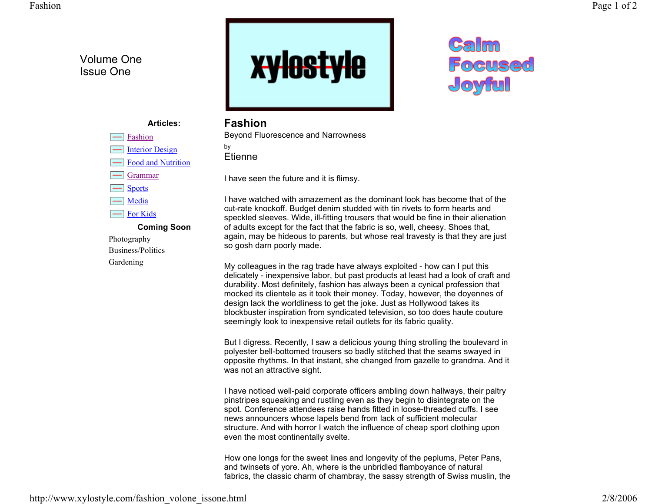## Volume One Issue One



## Calm Focused Joyful

## **Articles:**Fashion Interior Design Food and Nutrition -Grammar**Sports** н, Media For Kids **Coming Soon**

Photography Business/PoliticsGardening

## **Fashion**

Beyond Fluorescence and Narrowness

by Etienne

I have seen the future and it is flimsy.

I have watched with amazement as the dominant look has become that of the cut-rate knockoff. Budget denim studded with tin rivets to form hearts and speckled sleeves. Wide, ill-fitting trousers that would be fine in their alienation of adults except for the fact that the fabric is so, well, cheesy. Shoes that, again, may be hideous to parents, but whose real travesty is that they are just so gosh darn poorly made.

My colleagues in the rag trade have always exploited - how can I put this delicately - inexpensive labor, but past products at least had a look of craft and durability. Most definitely, fashion has always been a cynical profession that mocked its clientele as it took their money. Today, however, the doyennes of design lack the worldliness to get the joke. Just as Hollywood takes its blockbuster inspiration from syndicated television, so too does haute couture seemingly look to inexpensive retail outlets for its fabric quality.

But I digress. Recently, I saw a delicious young thing strolling the boulevard in polyester bell-bottomed trousers so badly stitched that the seams swayed in opposite rhythms. In that instant, she changed from gazelle to grandma. And it was not an attractive sight.

I have noticed well-paid corporate officers ambling down hallways, their paltry pinstripes squeaking and rustling even as they begin to disintegrate on the spot. Conference attendees raise hands fitted in loose-threaded cuffs. I see news announcers whose lapels bend from lack of sufficient molecular structure. And with horror I watch the influence of cheap sport clothing upon even the most continentally svelte.

How one longs for the sweet lines and longevity of the peplums, Peter Pans, and twinsets of yore. Ah, where is the unbridled flamboyance of natural fabrics, the classic charm of chambray, the sassy strength of Swiss muslin, the